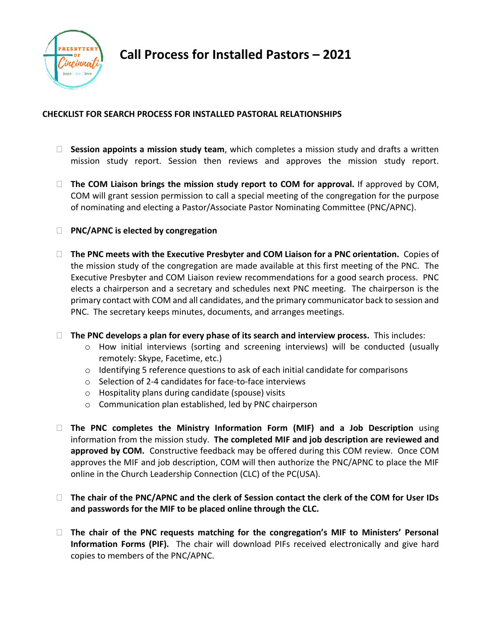

**Call Process for Installed Pastors – 2021**

## **CHECKLIST FOR SEARCH PROCESS FOR INSTALLED PASTORAL RELATIONSHIPS**

- **Session appoints a mission study team**, which completes a mission study and drafts a written mission study report. Session then reviews and approves the mission study report.
- □ The COM Liaison brings the mission study report to COM for approval. If approved by COM, COM will grant session permission to call a special meeting of the congregation for the purpose of nominating and electing a Pastor/Associate Pastor Nominating Committee (PNC/APNC).
- **PNC/APNC is elected by congregation**
- **The PNC meets with the Executive Presbyter and COM Liaison for a PNC orientation.** Copies of the mission study of the congregation are made available at this first meeting of the PNC. The Executive Presbyter and COM Liaison review recommendations for a good search process. PNC elects a chairperson and a secretary and schedules next PNC meeting. The chairperson is the primary contact with COM and all candidates, and the primary communicator back to session and PNC. The secretary keeps minutes, documents, and arranges meetings.
- **The PNC develops a plan for every phase of its search and interview process.** This includes:
	- $\circ$  How initial interviews (sorting and screening interviews) will be conducted (usually remotely: Skype, Facetime, etc.)
	- o Identifying 5 reference questions to ask of each initial candidate for comparisons
	- o Selection of 2-4 candidates for face-to-face interviews
	- o Hospitality plans during candidate (spouse) visits
	- o Communication plan established, led by PNC chairperson
- **The PNC completes the Ministry Information Form (MIF) and a Job Description** using information from the mission study. **The completed MIF and job description are reviewed and approved by COM.** Constructive feedback may be offered during this COM review. Once COM approves the MIF and job description, COM will then authorize the PNC/APNC to place the MIF online in the Church Leadership Connection (CLC) of the PC(USA).
- **The chair of the PNC/APNC and the clerk of Session contact the clerk of the COM for User IDs and passwords for the MIF to be placed online through the CLC.**
- **The chair of the PNC requests matching for the congregation's MIF to Ministers' Personal Information Forms (PIF).** The chair will download PIFs received electronically and give hard copies to members of the PNC/APNC.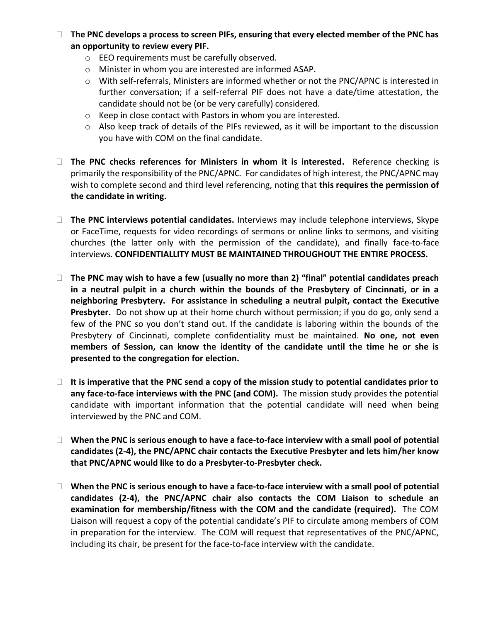- □ The PNC develops a process to screen PIFs, ensuring that every elected member of the PNC has **an opportunity to review every PIF.** 
	- o EEO requirements must be carefully observed.
	- o Minister in whom you are interested are informed ASAP.
	- o With self-referrals, Ministers are informed whether or not the PNC/APNC is interested in further conversation; if a self-referral PIF does not have a date/time attestation, the candidate should not be (or be very carefully) considered.
	- o Keep in close contact with Pastors in whom you are interested.
	- o Also keep track of details of the PIFs reviewed, as it will be important to the discussion you have with COM on the final candidate.
- **The PNC checks references for Ministers in whom it is interested.** Reference checking is primarily the responsibility of the PNC/APNC. For candidates of high interest, the PNC/APNC may wish to complete second and third level referencing, noting that **this requires the permission of the candidate in writing.**
- **The PNC interviews potential candidates.** Interviews may include telephone interviews, Skype or FaceTime, requests for video recordings of sermons or online links to sermons, and visiting churches (the latter only with the permission of the candidate), and finally face-to-face interviews. **CONFIDENTIALLITY MUST BE MAINTAINED THROUGHOUT THE ENTIRE PROCESS.**
- **The PNC may wish to have a few (usually no more than 2) "final" potential candidates preach in a neutral pulpit in a church within the bounds of the Presbytery of Cincinnati, or in a neighboring Presbytery. For assistance in scheduling a neutral pulpit, contact the Executive Presbyter.** Do not show up at their home church without permission; if you do go, only send a few of the PNC so you don't stand out. If the candidate is laboring within the bounds of the Presbytery of Cincinnati, complete confidentiality must be maintained. **No one, not even members of Session, can know the identity of the candidate until the time he or she is presented to the congregation for election.**
- **It is imperative that the PNC send a copy of the mission study to potential candidates prior to any face-to-face interviews with the PNC (and COM).** The mission study provides the potential candidate with important information that the potential candidate will need when being interviewed by the PNC and COM.
- □ When the PNC is serious enough to have a face-to-face interview with a small pool of potential **candidates (2-4), the PNC/APNC chair contacts the Executive Presbyter and lets him/her know that PNC/APNC would like to do a Presbyter-to-Presbyter check.**
- **When the PNC is serious enough to have a face-to-face interview with a small pool of potential candidates (2-4), the PNC/APNC chair also contacts the COM Liaison to schedule an examination for membership/fitness with the COM and the candidate (required).** The COM Liaison will request a copy of the potential candidate's PIF to circulate among members of COM in preparation for the interview. The COM will request that representatives of the PNC/APNC, including its chair, be present for the face-to-face interview with the candidate.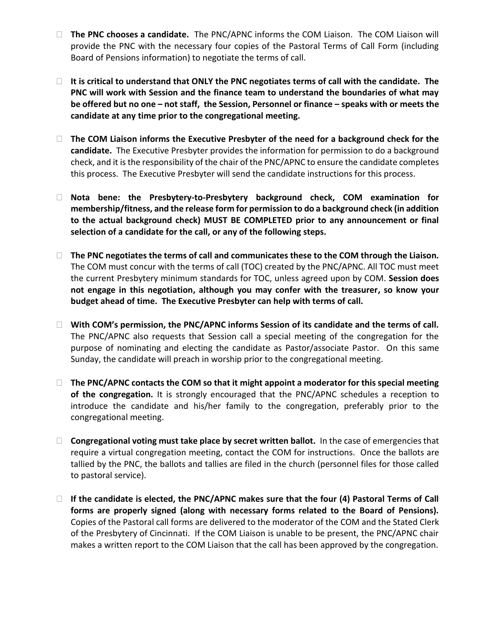- **The PNC chooses a candidate.** The PNC/APNC informs the COM Liaison. The COM Liaison will provide the PNC with the necessary four copies of the Pastoral Terms of Call Form (including Board of Pensions information) to negotiate the terms of call.
- **It is critical to understand that ONLY the PNC negotiates terms of call with the candidate. The PNC will work with Session and the finance team to understand the boundaries of what may be offered but no one – not staff, the Session, Personnel or finance – speaks with or meets the candidate at any time prior to the congregational meeting.**
- **The COM Liaison informs the Executive Presbyter of the need for a background check for the candidate.** The Executive Presbyter provides the information for permission to do a background check, and it is the responsibility of the chair of the PNC/APNC to ensure the candidate completes this process. The Executive Presbyter will send the candidate instructions for this process.
- **Nota bene: the Presbytery-to-Presbytery background check, COM examination for membership/fitness, and the release form for permission to do a background check (in addition to the actual background check) MUST BE COMPLETED prior to any announcement or final selection of a candidate for the call, or any of the following steps.**
- □ The PNC negotiates the terms of call and communicates these to the COM through the Liaison. The COM must concur with the terms of call (TOC) created by the PNC/APNC. All TOC must meet the current Presbytery minimum standards for TOC, unless agreed upon by COM. **Session does not engage in this negotiation, although you may confer with the treasurer, so know your budget ahead of time. The Executive Presbyter can help with terms of call.**
- **With COM's permission, the PNC/APNC informs Session of its candidate and the terms of call.** The PNC/APNC also requests that Session call a special meeting of the congregation for the purpose of nominating and electing the candidate as Pastor/associate Pastor. On this same Sunday, the candidate will preach in worship prior to the congregational meeting.
- □ The PNC/APNC contacts the COM so that it might appoint a moderator for this special meeting **of the congregation.** It is strongly encouraged that the PNC/APNC schedules a reception to introduce the candidate and his/her family to the congregation, preferably prior to the congregational meeting.
- **Congregational voting must take place by secret written ballot.** In the case of emergencies that require a virtual congregation meeting, contact the COM for instructions. Once the ballots are tallied by the PNC, the ballots and tallies are filed in the church (personnel files for those called to pastoral service).
- **If the candidate is elected, the PNC/APNC makes sure that the four (4) Pastoral Terms of Call forms are properly signed (along with necessary forms related to the Board of Pensions).**  Copies of the Pastoral call forms are delivered to the moderator of the COM and the Stated Clerk of the Presbytery of Cincinnati. If the COM Liaison is unable to be present, the PNC/APNC chair makes a written report to the COM Liaison that the call has been approved by the congregation.